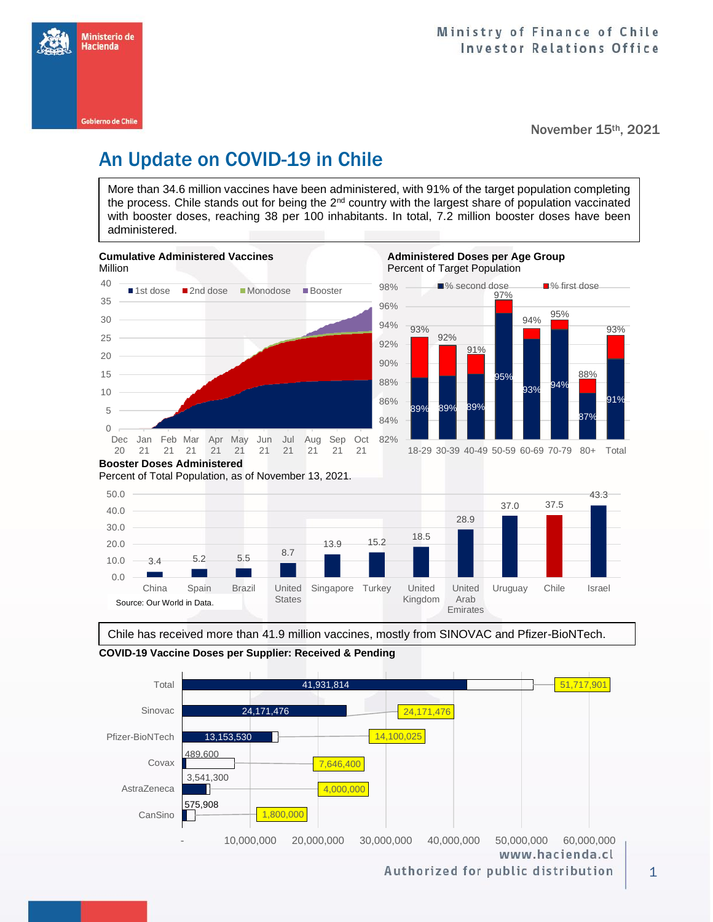

November 15th, 2021

# An Update on COVID-19 in Chile

More than 34.6 million vaccines have been administered, with 91% of the target population completing the process. Chile stands out for being the 2<sup>nd</sup> country with the largest share of population vaccinated with booster doses, reaching 38 per 100 inhabitants. In total, 7.2 million booster doses have been administered.



Percent of Total Population, as of November 13, 2021.



Chile has received more than 41.9 million vaccines, mostly from SINOVAC and Pfizer-BioNTech.



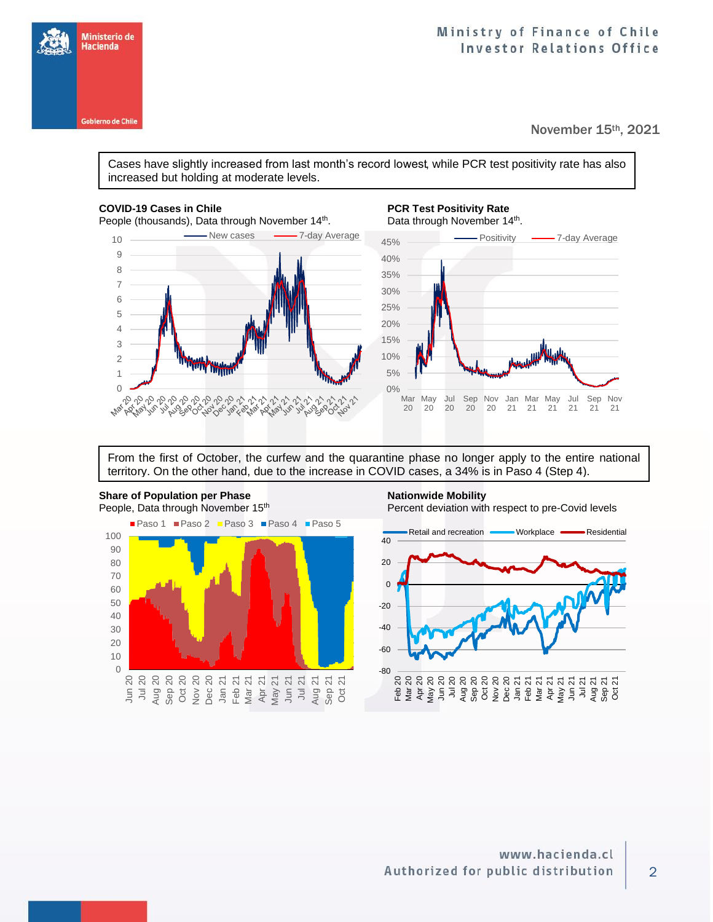## Ministry of Finance of Chile **Investor Relations Office**

November 15th, 2021

Cases have slightly increased from last month's record lowest, while PCR test positivity rate has also increased but holding at moderate levels.

Ministerio de Hacienda

**Gobierno de Chile** 

People (thousands), Data through November 14<sup>th</sup>.



## **COVID-19 Cases in Chile PCR Test Positivity Rate PCR Test Positivity Rate**

. Data through November 14<sup>th</sup>.



From the first of October, the curfew and the quarantine phase no longer apply to the entire national territory. On the other hand, due to the increase in COVID cases, a 34% is in Paso 4 (Step 4).



**Share of Population per Phase Nationwide Mobility**